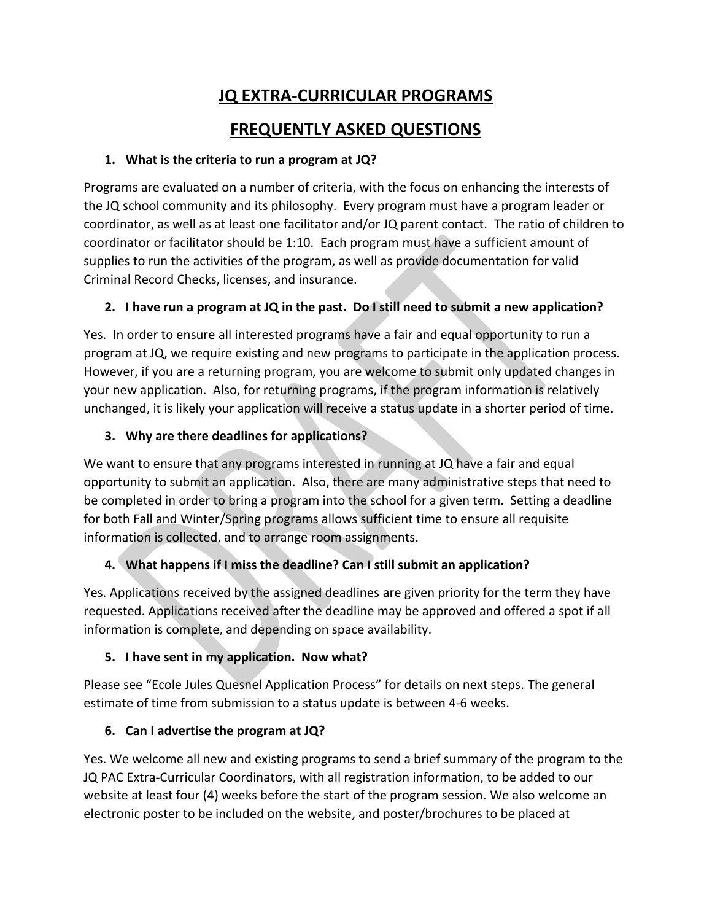# **JQ EXTRA-CURRICULAR PROGRAMS**

## **FREQUENTLY ASKED QUESTIONS**

#### **1. What is the criteria to run a program at JQ?**

Programs are evaluated on a number of criteria, with the focus on enhancing the interests of the JQ school community and its philosophy. Every program must have a program leader or coordinator, as well as at least one facilitator and/or JQ parent contact. The ratio of children to coordinator or facilitator should be 1:10. Each program must have a sufficient amount of supplies to run the activities of the program, as well as provide documentation for valid Criminal Record Checks, licenses, and insurance.

### **2. I have run a program at JQ in the past. Do I still need to submit a new application?**

Yes. In order to ensure all interested programs have a fair and equal opportunity to run a program at JQ, we require existing and new programs to participate in the application process. However, if you are a returning program, you are welcome to submit only updated changes in your new application. Also, for returning programs, if the program information is relatively unchanged, it is likely your application will receive a status update in a shorter period of time.

### **3. Why are there deadlines for applications?**

We want to ensure that any programs interested in running at JQ have a fair and equal opportunity to submit an application. Also, there are many administrative steps that need to be completed in order to bring a program into the school for a given term. Setting a deadline for both Fall and Winter/Spring programs allows sufficient time to ensure all requisite information is collected, and to arrange room assignments.

### **4. What happens if I miss the deadline? Can I still submit an application?**

Yes. Applications received by the assigned deadlines are given priority for the term they have requested. Applications received after the deadline may be approved and offered a spot if all information is complete, and depending on space availability.

### **5. I have sent in my application. Now what?**

Please see "Ecole Jules Quesnel Application Process" for details on next steps. The general estimate of time from submission to a status update is between 4-6 weeks.

### **6. Can I advertise the program at JQ?**

Yes. We welcome all new and existing programs to send a brief summary of the program to the JQ PAC Extra-Curricular Coordinators, with all registration information, to be added to our website at least four (4) weeks before the start of the program session. We also welcome an electronic poster to be included on the website, and poster/brochures to be placed at